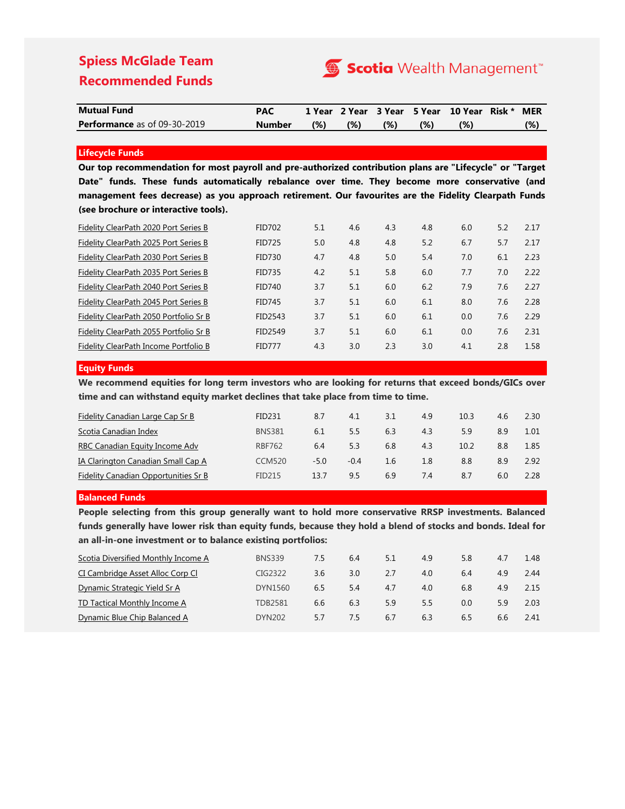# **Spiess McGlade Team Recommended Funds**



| <b>Mutual Fund</b>                  | <b>PAC</b> |     |     |     |               | 1 Year 2 Year 3 Year 5 Year 10 Year Risk * | <b>MER</b>    |
|-------------------------------------|------------|-----|-----|-----|---------------|--------------------------------------------|---------------|
| <b>Performance</b> as of 09-30-2019 | Number     | (%) | (%) | (%) | $\frac{1}{2}$ | (96)                                       | $\frac{9}{6}$ |

## **Lifecycle Funds**

**Our top recommendation for most payroll and pre-authorized contribution plans are "Lifecycle" or "Target Date" funds. These funds automatically rebalance over time. They become more conservative (and management fees decrease) as you approach retirement. Our favourites are the Fidelity Clearpath Funds (see brochure or interactive tools).**

| Fidelity ClearPath 2020 Port Series B  | <b>FID702</b>       | 5.1 | 4.6 | 4.3 | 4.8 | 6.0 | 5.2 | 2.17 |
|----------------------------------------|---------------------|-----|-----|-----|-----|-----|-----|------|
| Fidelity ClearPath 2025 Port Series B  | <b>FID725</b>       | 5.0 | 4.8 | 4.8 | 5.2 | 6.7 | 5.7 | 2.17 |
| Fidelity ClearPath 2030 Port Series B  | FID730              | 4.7 | 4.8 | 5.0 | 5.4 | 7.0 | 6.1 | 2.23 |
| Fidelity ClearPath 2035 Port Series B  | <b>FID735</b>       | 4.2 | 5.1 | 5.8 | 6.0 | 7.7 | 7.0 | 2.22 |
| Fidelity ClearPath 2040 Port Series B  | <b>FID740</b>       | 3.7 | 5.1 | 6.0 | 6.2 | 7.9 | 7.6 | 2.27 |
| Fidelity ClearPath 2045 Port Series B  | <b>FID745</b>       | 3.7 | 5.1 | 6.0 | 6.1 | 8.0 | 7.6 | 2.28 |
| Fidelity ClearPath 2050 Portfolio Sr B | FID <sub>2543</sub> | 3.7 | 5.1 | 6.0 | 6.1 | 0.0 | 7.6 | 2.29 |
| Fidelity ClearPath 2055 Portfolio Sr B | FID2549             | 3.7 | 5.1 | 6.0 | 6.1 | 0.0 | 7.6 | 2.31 |
| Fidelity ClearPath Income Portfolio B  | <b>FID777</b>       | 4.3 | 3.0 | 2.3 | 3.0 | 4.1 | 2.8 | 1.58 |

### **Equity Funds**

**We recommend equities for long term investors who are looking for returns that exceed bonds/GICs over time and can withstand equity market declines that take place from time to time.**

| Fidelity Canadian Large Cap Sr B          | FID231        | 8.7  | 4.1    | 3.1 | 4.9 | 10.3 | 4.6 | 2.30 |
|-------------------------------------------|---------------|------|--------|-----|-----|------|-----|------|
| Scotia Canadian Index                     | <b>BNS381</b> | 6.1  | 5.5    | 6.3 | 4.3 | 5.9  | 8.9 | 1.01 |
| RBC Canadian Equity Income Adv            | <b>RBF762</b> | 6.4  | 5.3    | 6.8 | 4.3 | 10.2 | 8.8 | 1.85 |
| <b>IA Clarington Canadian Small Cap A</b> | <b>CCM520</b> | -5.0 | $-0.4$ | 1.6 | 1.8 | 8.8  | 8.9 | 2.92 |
| Fidelity Canadian Opportunities Sr B      | FID215        | 13.7 | 9.5    | 6.9 | 7.4 | 8.7  | 6.0 | 2.28 |

### **Balanced Funds**

**People selecting from this group generally want to hold more conservative RRSP investments. Balanced** funds generally have lower risk than equity funds, because they hold a blend of stocks and bonds. Ideal for **an all-in-one investment or to balance existing portfolios:**

| Scotia Diversified Monthly Income A | <b>BNS339</b>  | 7.5 | 6.4 | 5.1 | 4.9 | 5.8 | 4.7 | 1.48 |
|-------------------------------------|----------------|-----|-----|-----|-----|-----|-----|------|
| CI Cambridge Asset Alloc Corp Cl    | CIG2322        | 3.6 | 3.0 | 2.7 | 4.0 | 6.4 | 4.9 | 2.44 |
| Dynamic Strategic Yield Sr A        | DYN1560        | 6.5 | 5.4 | 4.7 | 4.0 | 6.8 | 4.9 | 215  |
| TD Tactical Monthly Income A        | <b>TDB2581</b> | 6.6 | 6.3 | 5.9 | 5.5 | 0.0 | 5.9 | 2.03 |
| Dynamic Blue Chip Balanced A        | <b>DYN202</b>  | 5.7 | 7.5 | 6.7 | 6.3 | 6.5 | 6.6 | 2.41 |